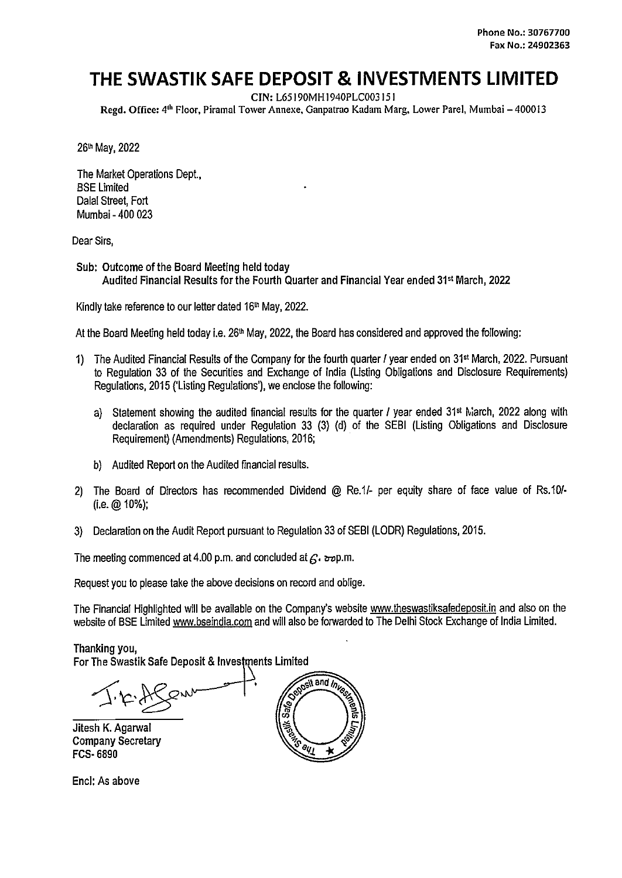# **THE SWASTIK SAFE DEPOSIT & INVESTMENTS LIMITED**

CIN: L65 I 90MH I 940PLC003 I 51

Regd. Office: 4<sup>th</sup> Floor, Piramal Tower Annexe, Ganpatrao Kadam Marg, Lower Parel, Mumbai – 400013

26<sup>th</sup> May, 2022

The Market Operations Dept.. BSE Limited Dalal Street, Fort Mumbai - 400 023

Dear Sirs,

Sub: Outcome of the Board Meeting held today Audited Financial Results for the Fourth Quarter and Financial Year ended 31st March, 2022

Kindly take reference to our letter dated 16th May, 2022.

At the Board Meeting held today i.e. 26<sup>th</sup> May, 2022, the Board has considered and approved the following:

- 1) The Audited Financial Results of the Company for the fourth quarter I year ended on 31st March, 2022. Pursuant to Regulation 33 of the Securities and Exchange of India (Listing Obligations and Disclosure Requirements) Regulations, 2015 ('Listing Regulations'), we enclose the following:
	- a) Statement showing the audited financial results for the quarter I year ended 31<sup>st</sup> March, 2022 along with declaration as required under Regulation 33 (3) {d} of the SEBI (Listing Obligations and Disclosure Requirement) (Amendments} Regulations, 2016;
	- b} Audited Report on the Audited financial results.
- 2) The Board of Directors has recommended Dividend @ Re.1/- per equity share of face value of Rs.10/-(i.e.@ 10%);
- 3) Declaration on the Audit Report pursuant to Regulation 33 of SEBI (LODR) Regulations, 2015.

The meeting commenced at 4.00 p.m. and concluded at  $f<sub>s</sub>$ .  $\frac{1}{2}$ *rop.m.* 

Request you to please take the above decisions on record and oblige.

The Financial Highlighted will be available on the Company's website www.theswastiksafedeposit.in and also on the website of BSE Limited www.bseindia.com and will also be forwarded to The Delhi Stock Exchange of India Limited.

Thanking you,

For The Swastik Safe Deposit & Investments Limited

Jitesh K. Agarwal Company Secretary FCS· 6890

osit and Inve  $\frac{dy_1}{dx_2}$ 

Encl: As above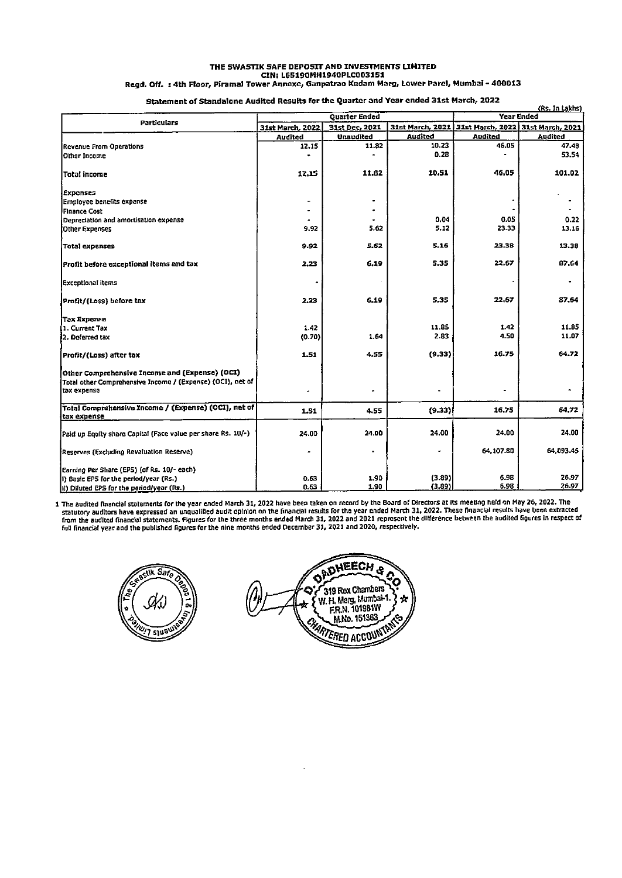#### THE SWASTIK SAFE DEPOSIT AND INVESTMENTS UMITED CIN: L65190MH1940PLC003151

Regd. Off. : 4th Floor, Piramal Tower Annexe, Ganpatrao Kadam Marg, Lower Parel, Mumbai - 400013

## Statement of Standalone Audited Results for the Quarter and Year ended 31st March, 2022

|                                                                           |                                    |                                    |                                   | (Rs. In Lakhs)<br><b>Year Ended</b> |              |
|---------------------------------------------------------------------------|------------------------------------|------------------------------------|-----------------------------------|-------------------------------------|--------------|
| Particulars                                                               | <b>Quarter Ended</b>               |                                    | 31st March, 2022 31st March, 2021 |                                     |              |
|                                                                           | 31st March, 2022<br><b>Audited</b> | 31st Dec. 2021<br><b>Unaudited</b> | 31st March, 2021<br>Audited       | Audited                             | Audited      |
| Revenue From Operations                                                   | 12.15                              | 11.82                              | 10.23                             | 46,05                               | 47.48        |
| Other Income                                                              |                                    |                                    | 0.28                              |                                     | 53.54        |
|                                                                           |                                    |                                    |                                   |                                     |              |
| Total income                                                              | 12.15                              | 11,82                              | 10.51                             | 46.05                               | 101.02       |
| Expenses                                                                  |                                    |                                    |                                   |                                     |              |
| Employee benefits expense                                                 |                                    |                                    |                                   |                                     |              |
| Finance Cost                                                              |                                    |                                    |                                   |                                     |              |
| Depreciation and amortisation expense                                     |                                    |                                    | 0,04                              | 0.05                                | 0.22         |
| <b>Other Expenses</b>                                                     | 9.92                               | 5.62                               | 5.12                              | 23.33                               | 13.16        |
| <b>Total expenses</b>                                                     | 9.92                               | 5.62                               | 5.16                              | 23.38                               | 13.38        |
| Profit before exceptional items and tax                                   | 2,23                               | 6.19                               | 5.35                              | 22.67                               | <b>B7.64</b> |
| Exceptional items                                                         |                                    |                                    |                                   |                                     |              |
| Profit/(Loss) before tax                                                  | 2,23                               | 6.19                               | 5.35                              | 22.67                               | 87.64        |
| <b>Tax Expense</b>                                                        |                                    |                                    |                                   |                                     |              |
| 1. Current Tax                                                            | 1.42                               |                                    | 11.85                             | 1.42                                | 11.85        |
| 2. Deferred tax                                                           | (0.70)                             | 1.64                               | 2.83                              | 4.50                                | 11.07        |
| Profit/(Loss) after tax                                                   | 1.51                               | 4.55                               | (9.33)                            | 16.75                               | 64.72        |
| Other Comprehensive Income and (Expense) (OCI)                            |                                    |                                    |                                   |                                     |              |
| Total other Comprehensive Income / (Expense) (OCI), net of<br>tax expense | ٠                                  |                                    |                                   |                                     |              |
| Total Comprehensive Income / (Expense) (OCI), net of                      | 1.51                               | 4.55                               | (9.33)                            | 16.75                               | 64,72        |
| tax expense                                                               |                                    |                                    |                                   |                                     |              |
| Paid up Equity share Capital (Face value per share Rs. 10/-)              | 24.00                              | 24.00                              | 24.00                             | 24.00                               | 24,00        |
| Reserves (Excluding Revaluation Reserve)                                  |                                    | ٠                                  | ٠                                 | 64,107.80                           | 64.093.45    |
| Earning Per Share (EPS) (of Rs. 10/- each)                                |                                    |                                    |                                   |                                     |              |
| i) Basic EPS for the period/year (Rs.)                                    | 0.63                               | 1.90                               | (3.89)                            | 6.98                                | 26.97        |
| (iii) Diluted EPS for the period/year (Rs.)                               | 0.63                               | 1.90                               | (3.89)                            | 6.98                                | 26.97        |

1 The audited financial statements for the year ended March 31, 2022 have been taken on record by the Board of Directors at its meeting held on May 26, 2022. The<br>statutory auditors have expressed an unqualified audit opini



OADHEECH & Q Ö 319 Rex Chambers C W. H. Marg. Mumbai-1.<br>F.R.N. 101981W ÷ M.No. 151363 **CHARTERED ACCOUNTING**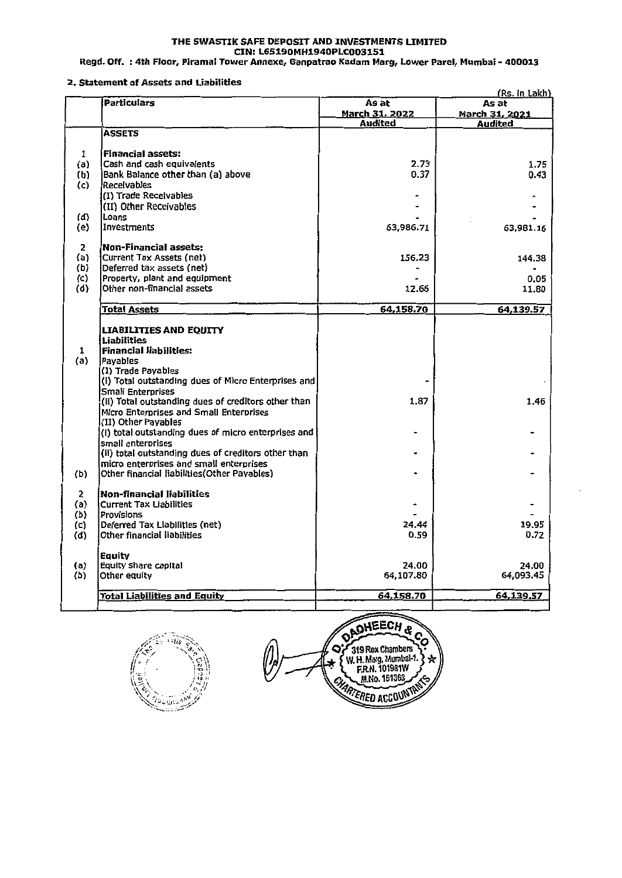#### THE SWASTIK SAFE DEPOSIT AND INVESTMENTS UMITED **CIN:L6519DMH1940PLC003151**

Regd. Off. : 4th Floor, Piramal Tower Annexe, Ganpatrao Kadam Marg, Lower Parel, Mumbai • 400013

#### 2. Statement of Assets and Liabilities

|               | וום כוונכות וט ווטווט<br>(Rs. in Lakh)                                          |                                  |                                  |  |  |
|---------------|---------------------------------------------------------------------------------|----------------------------------|----------------------------------|--|--|
|               | Particulars                                                                     | As at                            | As at                            |  |  |
|               |                                                                                 | <b>March 31, 2022</b><br>Audited | <b>March 31, 2021</b><br>Audited |  |  |
|               | <b>ASSETS</b>                                                                   |                                  |                                  |  |  |
|               |                                                                                 |                                  |                                  |  |  |
| 1             | <b>Financial assets:</b>                                                        |                                  |                                  |  |  |
| (a)           | Cash and cash equivalents                                                       | 2.73                             | 1.75                             |  |  |
| (b)           | Bank Balance other than (a) above                                               | 0.37                             | 0.43                             |  |  |
| (c)           | Receivables                                                                     |                                  |                                  |  |  |
|               | (I) Trade Receivables                                                           |                                  |                                  |  |  |
|               | (II) Other Receivables                                                          |                                  |                                  |  |  |
| (d)           | Loans<br>Investments                                                            | 63,986.71                        |                                  |  |  |
| (e)           |                                                                                 |                                  | 63,981.16                        |  |  |
| 2             | <b>Non-Financial assets:</b>                                                    |                                  |                                  |  |  |
| (a)           | Current Tax Assets (net)                                                        | 156.23                           | 144.38                           |  |  |
| (b)           | Deferred tax assets (net)                                                       |                                  |                                  |  |  |
| $\mathcal{L}$ | Property, plant and equipment                                                   |                                  | 0.05                             |  |  |
| (d)           | Other non-financial assets                                                      | 12.66                            | 11.80                            |  |  |
|               | <b>Total Assets</b>                                                             | 64,158.70                        | 64,139.57                        |  |  |
|               |                                                                                 |                                  |                                  |  |  |
|               | LIABILITIES AND EQUITY                                                          |                                  |                                  |  |  |
|               | <b>Liabilities</b>                                                              |                                  |                                  |  |  |
| 1             | <b>Financial liabilities:</b>                                                   |                                  |                                  |  |  |
| (a)           | Pavables                                                                        |                                  |                                  |  |  |
|               | (I) Trade Payables                                                              |                                  |                                  |  |  |
|               | (i) Total outstanding dues of Micro Enterprises and                             |                                  |                                  |  |  |
|               | <b>Small Enterprises</b><br>(Ii) Total outstanding dues of creditors other than | 1.87                             | 1.46                             |  |  |
|               | Micro Enterprises and Small Enterprises                                         |                                  |                                  |  |  |
|               | (II) Other Payables                                                             |                                  |                                  |  |  |
|               | (I) total outstanding dues of micro enterprises and                             |                                  |                                  |  |  |
|               | small enterorises                                                               |                                  |                                  |  |  |
|               | (ii) total outstanding dues of creditors other than                             |                                  |                                  |  |  |
|               | micro enterprises and small enterprises                                         |                                  |                                  |  |  |
| (b)           | Other financial liabilities (Other Payables)                                    |                                  |                                  |  |  |
| 2             | <b>Non-financial liabilities</b>                                                |                                  |                                  |  |  |
| (a)           | Current Tax Liabilities                                                         |                                  |                                  |  |  |
| (b)           | Provisions                                                                      |                                  |                                  |  |  |
| (c)           | Deferred Tax Liabilities (net)                                                  | 24.44                            | 19.95                            |  |  |
| (d)           | Other financial liabilities                                                     | 0.59                             | 0.72                             |  |  |
|               | Eauity                                                                          |                                  |                                  |  |  |
| (a)           | Equity share capital                                                            | 24.00                            | 24.00                            |  |  |
| (b)           | Other equity                                                                    | 64,107.80                        | 64,093.45                        |  |  |
|               |                                                                                 |                                  |                                  |  |  |
|               | <b>Total Liabilities and Equity</b>                                             | 64,158.70                        | 64,139.57                        |  |  |

Plot invest<sup>an</sup>

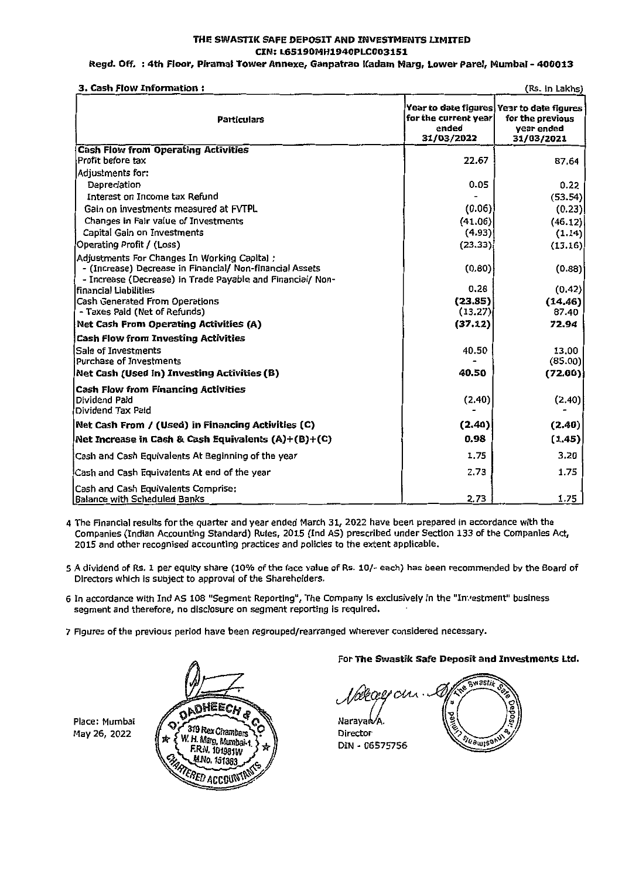### THE SWASTIK SAFE DEPOSIT AND INVESTMENTS UMITED CIN:L65190MH1940PLC003151

#### Regd. Off. : 4th Floor, Piramal Tower Annexe, Ganpatrao ICadam Marg, Lower Parel, Mumbai - 400013

3. Cash Flow Information : (Rs. In Lakhs)

| э. Саэн гюw <i>L</i> invi шасюн                                                                                                                                       |                                             | ( <i>In</i> s, III Lanis)                                                                 |
|-----------------------------------------------------------------------------------------------------------------------------------------------------------------------|---------------------------------------------|-------------------------------------------------------------------------------------------|
| <b>Particulars</b>                                                                                                                                                    | for the current year<br>ended<br>31/03/2022 | Year to date figures Year to date figures<br>for the previous<br>vear ended<br>31/03/2021 |
| <b>Cash Flow from Operating Activities</b>                                                                                                                            |                                             |                                                                                           |
| Profit before tax                                                                                                                                                     | 22.67                                       | 87.64                                                                                     |
| Adiustments for:                                                                                                                                                      |                                             |                                                                                           |
| Depreciation                                                                                                                                                          | 0.05                                        | 0.22                                                                                      |
| Interest on Income tax Refund                                                                                                                                         |                                             | (53.54)                                                                                   |
| Gain on investments measured at FVTPL                                                                                                                                 | (0.06)                                      | (0.23)                                                                                    |
| Changes in Fair value of Investments                                                                                                                                  | (41.06)                                     | (46.12)                                                                                   |
| Capital Gain on Investments                                                                                                                                           | (4.93)                                      | (1.14)                                                                                    |
| Operating Profit / (Loss)                                                                                                                                             | (23.33)                                     | (13.16)                                                                                   |
| Adjustments For Changes In Working Capital:<br>- (Increase) Decrease in Financial/ Non-financial Assets<br>- Increase (Decrease) in Trade Payable and Financial/ Non- | (0.80)                                      | (0.88)                                                                                    |
| financial Liabilities                                                                                                                                                 | 0.28                                        | (0.42)                                                                                    |
| Cash Generated From Operations                                                                                                                                        | (23.85)                                     | (14.46)                                                                                   |
| - Taxes Paid (Net of Refunds)                                                                                                                                         | (13.27)                                     | 87.40                                                                                     |
| Net Cash From Operating Activities (A)                                                                                                                                | (37.12)                                     | 72.94                                                                                     |
| <b>Cash Flow from Investing Activities</b>                                                                                                                            |                                             |                                                                                           |
| Sale of Investments                                                                                                                                                   | 40.50                                       | 13.00                                                                                     |
| Purchase of Investments                                                                                                                                               |                                             | (85.00)                                                                                   |
| Net Cash (Used in) Investing Activities (B)                                                                                                                           | 40.50                                       | (72.00)                                                                                   |
| <b>Cash Flow from Financing Activities</b><br>Dividend Paid<br>Dividend Tax Paid                                                                                      | (2.40)                                      | (2.40)                                                                                    |
| Net Cash From / (Used) in Financing Activities (C)                                                                                                                    | (2.40)                                      | (2.40)                                                                                    |
| Net Increase in Cash & Cash Equivalents $(A)+(B)+(C)$                                                                                                                 | 0.98                                        | (1.45)                                                                                    |
| Cash and Cash Equivalents At Beginning of the year                                                                                                                    | 1.75                                        | 3.20                                                                                      |
| Cash and Cash Equivalents At end of the year                                                                                                                          | 2.73                                        | 1.75                                                                                      |
| Cash and Cash Equivalents Comprise:<br>Balance with Scheduled Banks                                                                                                   | 2.73                                        | 1.75                                                                                      |

4 The Financial results for the quarter and year ended March 31, 2022 have been prepared In accordance with the Companies (Indian Accounting Standard) Rules, 2015 (Ind AS) prescribed under Section 133 of the Companies Act, 2015 and other recognised accounting practices and policies to the extent applicable.

- 5 A dividend of Rs. 1 per equity share (10% of the face value of Rs. 10/- each) has been recommended by the Board of Directors which is subject to approval of the Shareholders.
- 6 In accordance with Ind AS 108 "Segment Reporting", The Company Is exclusively in the "In-,1estment" business segment and therefore, no dlsclosure on segment reporting is required.
- 7 Figures of the previous period have been regrouped/rearranged wherever considered necessary.





#### For **The Swastik safe Deposit and Investments Ltd.**

**Swast**  $^{\rho}$ CAA Naraya $\mathsf{b}\mathsf{/}\mathsf{A}$ Director **SIGOLIS** DIN • 06575756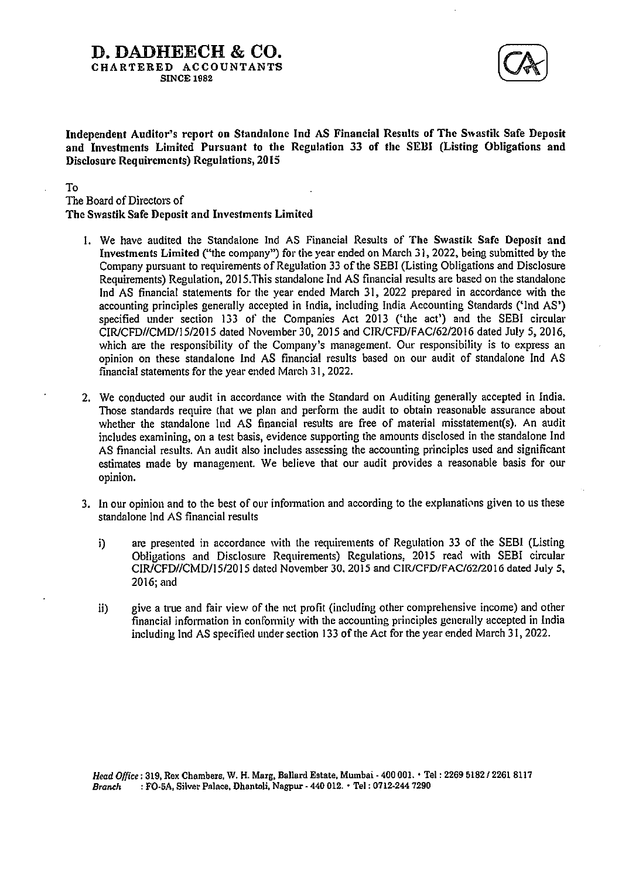## **D. DADHEECH & CO.**  CHARTERED ACCOUNTANTS SINCE 1982



Independent Auditor's report on Standalone Ind AS Financial Results of The Swastik Safe Deposit **and Investments Limited Pursuant** to **the Regulation 33 of the SElll (Listing** Obligations and Disclosure Requirements) Regulations, 2015

### To

The Board of Directors of **The Swastik Safe Deposit** and Investments **Limited** 

- 1. We have audited the Standalone Ind AS Financial Results of **The Swastik Safe Deposit and Investments Limited** ("the company") for the year ended on March 31, 2022. being submitted by the Company pursuant to requirements of Regulation 33 of the SEBI (Listing Obligations and Disclosure Requirements) Regulation. 2015.This standalone Ind AS financial results are based on the standalone Ind AS financial statements for the year ended March 31, 2022 prepared in accordance with the accounting principles generally accepted in India, including India Accounting Standards ('Ind AS') specified under section 133 of the Companies Act 2013 ('the act') and the SEBI circular CIR/CFD//CMD/15/2015 dated November 30, 2015 and CIR/CFD/FAC/62/2016 dated July 5, 2016, which are the responsibility of the Company's management. Our responsibility is to express an opinion on these standalone Ind AS financial results based on our audit of standalone Ind AS financial statements for the year ended March 31, 2022.
- 2. We conducted our audit in accordance with the Standard on Auditing generally accepted in India. Those standards require lhat we plan and perform the audit to obtain reasonable assurance about whether the standalone Ind AS financial results are free of material misstatement(s). An audit includes examining, on a test basis, evidence supporting the amounts disclosed in the standalone Ind AS financial results. An audit also includes assessing the accounting principles used and significant estimates made by management. We believe that our audit provides a reasonable basis for our opinion.
- 3. In our opinion and to the best of our information and according to the explanations given to us these standalone Ind AS financial results
	- i) are presented in accordance with the requirements of Regulation 33 of the SEBI (Listing Obligations and Disclosure Requirements) Regulations, 2015 read with SEBI circular CTR/CFD//CMD/15/2015 dated November 30. 2015 and ClR/CFD/FAC/62/2016 dated Julys. 2016;and
	- ii) give a true and fair view of the net profit (including other comprehensive income) and other financial information in conformity with the accounting principles generally accepted in India including Ind AS specified under section 133 of the Act for the year ended March 3 I, 2022.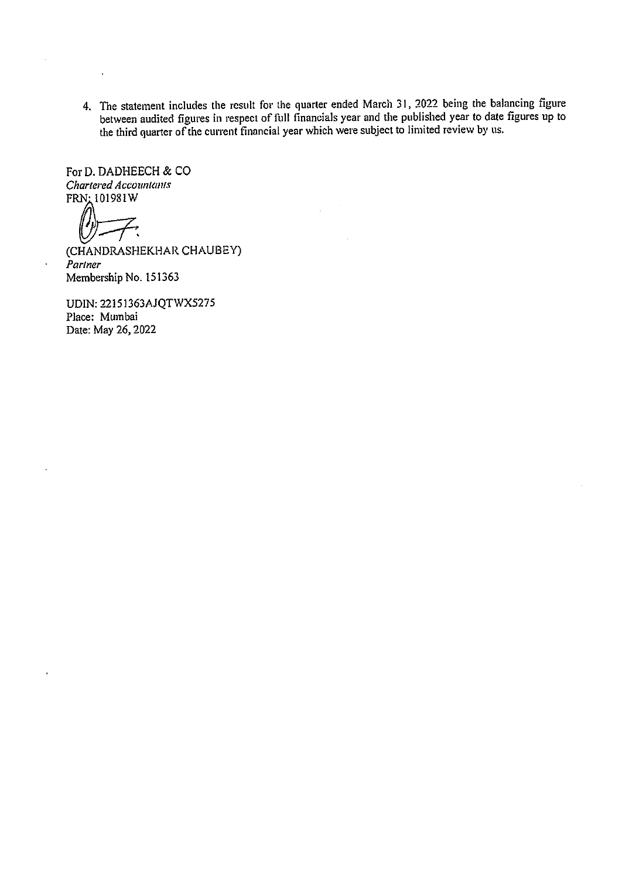4. The statement includes the result for the quarter ended March 31, 2022 being the balancing figure between audited figures in respect of full financials year and the published year to date figures up to the third quarter of the current financial year which were subject to limited review by us.

For D. DADHEECH & CO  $\frac{Character}{C}$  *Chartered Accountants*<br>FRN: 101981W

 $\overline{a}$ 

 $\ddot{\phantom{a}}$ 

(CHANDRASHEKHAR CHAUBEY) *Partner*  Membership No. 151363

UDIN: 22151363AJQTWX5275 Place: Mumbai Date: May 26, 2022